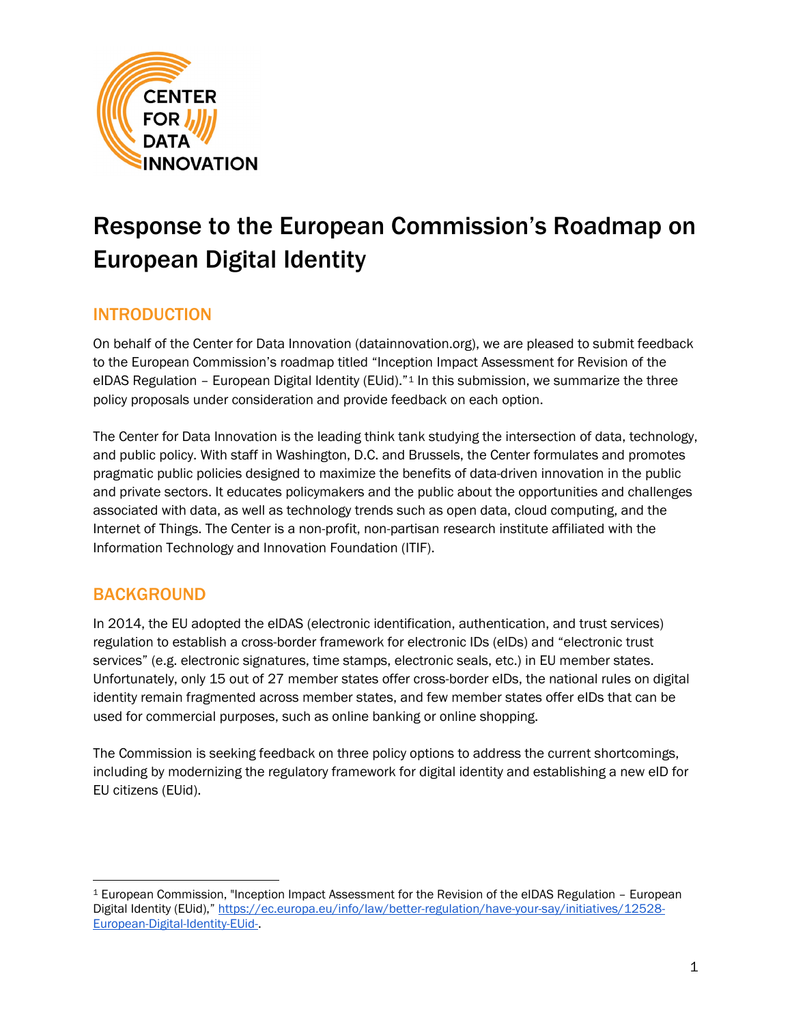

# Response to the European Commission's Roadmap on European Digital Identity

## INTRODUCTION

On behalf of the Center for Data Innovation (datainnovation.org), we are pleased to submit feedback to the European Commission's roadmap titled "Inception Impact Assessment for Revision of the eIDAS Regulation - European Digital Identity (EUid)."<sup>[1](#page-0-0)</sup> In this submission, we summarize the three policy proposals under consideration and provide feedback on each option.

The Center for Data Innovation is the leading think tank studying the intersection of data, technology, and public policy. With staff in Washington, D.C. and Brussels, the Center formulates and promotes pragmatic public policies designed to maximize the benefits of data-driven innovation in the public and private sectors. It educates policymakers and the public about the opportunities and challenges associated with data, as well as technology trends such as open data, cloud computing, and the Internet of Things. The Center is a non-profit, non-partisan research institute affiliated with the Information Technology and Innovation Foundation (ITIF).

### BACKGROUND

In 2014, the EU adopted the eIDAS (electronic identification, authentication, and trust services) regulation to establish a cross-border framework for electronic IDs (eIDs) and "electronic trust services" (e.g. electronic signatures, time stamps, electronic seals, etc.) in EU member states. Unfortunately, only 15 out of 27 member states offer cross-border eIDs, the national rules on digital identity remain fragmented across member states, and few member states offer eIDs that can be used for commercial purposes, such as online banking or online shopping.

The Commission is seeking feedback on three policy options to address the current shortcomings, including by modernizing the regulatory framework for digital identity and establishing a new eID for EU citizens (EUid).

<span id="page-0-0"></span><sup>1</sup> European Commission, "Inception Impact Assessment for the Revision of the eIDAS Regulation – European Digital Identity (EUid)," [https://ec.europa.eu/info/law/better-regulation/have-your-say/initiatives/12528-](https://ec.europa.eu/info/law/better-regulation/have-your-say/initiatives/12528-European-Digital-Identity-EUid-) [European-Digital-Identity-EUid-.](https://ec.europa.eu/info/law/better-regulation/have-your-say/initiatives/12528-European-Digital-Identity-EUid-)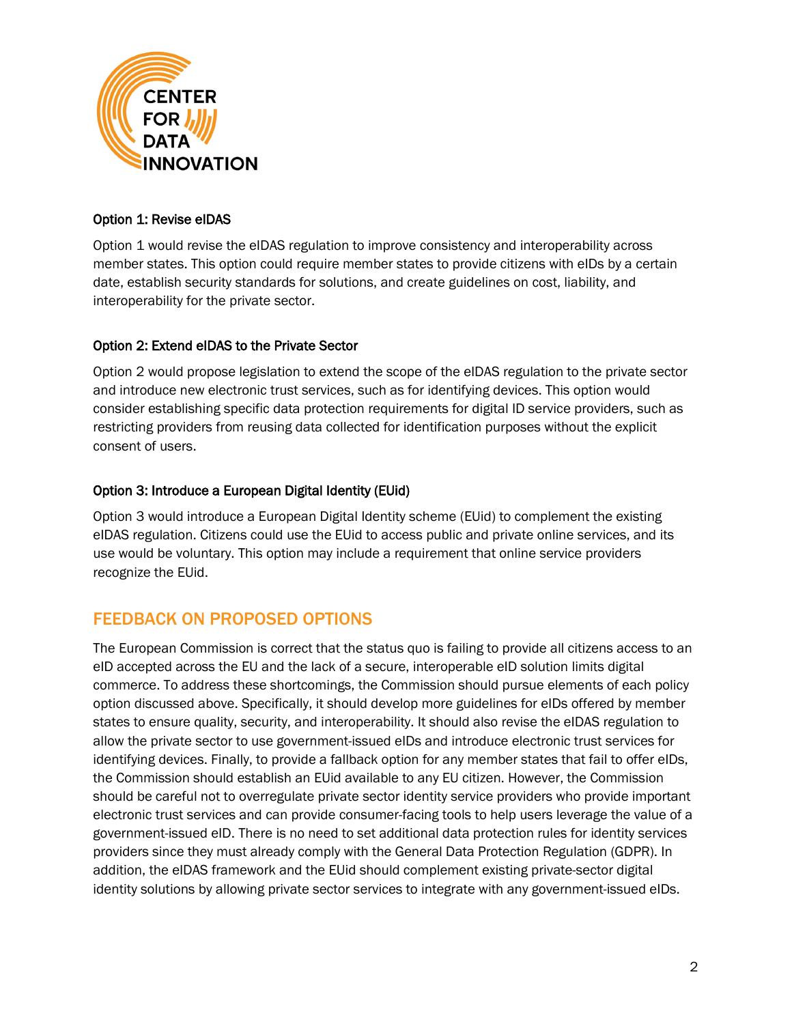

#### Option 1: Revise eIDAS

Option 1 would revise the eIDAS regulation to improve consistency and interoperability across member states. This option could require member states to provide citizens with eIDs by a certain date, establish security standards for solutions, and create guidelines on cost, liability, and interoperability for the private sector.

#### Option 2: Extend eIDAS to the Private Sector

Option 2 would propose legislation to extend the scope of the eIDAS regulation to the private sector and introduce new electronic trust services, such as for identifying devices. This option would consider establishing specific data protection requirements for digital ID service providers, such as restricting providers from reusing data collected for identification purposes without the explicit consent of users.

#### Option 3: Introduce a European Digital Identity (EUid)

Option 3 would introduce a European Digital Identity scheme (EUid) to complement the existing eIDAS regulation. Citizens could use the EUid to access public and private online services, and its use would be voluntary. This option may include a requirement that online service providers recognize the EUid.

## FEEDBACK ON PROPOSED OPTIONS

The European Commission is correct that the status quo is failing to provide all citizens access to an eID accepted across the EU and the lack of a secure, interoperable eID solution limits digital commerce. To address these shortcomings, the Commission should pursue elements of each policy option discussed above. Specifically, it should develop more guidelines for eIDs offered by member states to ensure quality, security, and interoperability. It should also revise the eIDAS regulation to allow the private sector to use government-issued eIDs and introduce electronic trust services for identifying devices. Finally, to provide a fallback option for any member states that fail to offer eIDs, the Commission should establish an EUid available to any EU citizen. However, the Commission should be careful not to overregulate private sector identity service providers who provide important electronic trust services and can provide consumer-facing tools to help users leverage the value of a government-issued eID. There is no need to set additional data protection rules for identity services providers since they must already comply with the General Data Protection Regulation (GDPR). In addition, the eIDAS framework and the EUid should complement existing private-sector digital identity solutions by allowing private sector services to integrate with any government-issued eIDs.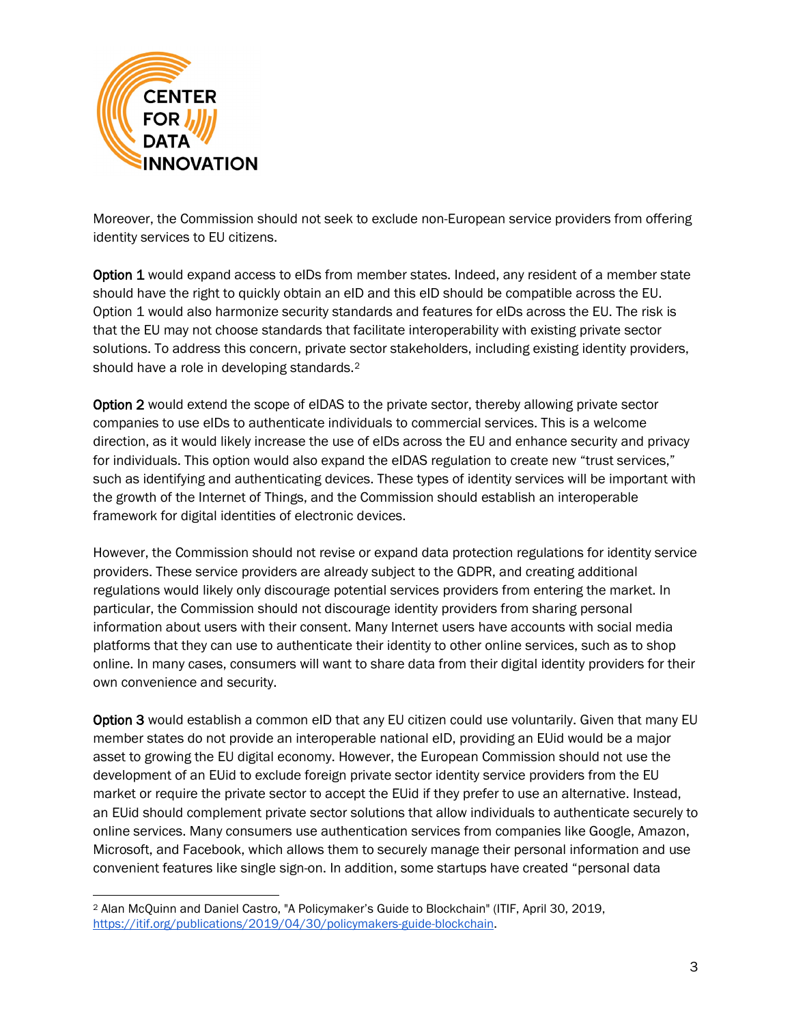

Moreover, the Commission should not seek to exclude non-European service providers from offering identity services to EU citizens.

Option 1 would expand access to eIDs from member states. Indeed, any resident of a member state should have the right to quickly obtain an eID and this eID should be compatible across the EU. Option 1 would also harmonize security standards and features for eIDs across the EU. The risk is that the EU may not choose standards that facilitate interoperability with existing private sector solutions. To address this concern, private sector stakeholders, including existing identity providers, should have a role in developing standards.<sup>[2](#page-2-0)</sup>

Option 2 would extend the scope of eIDAS to the private sector, thereby allowing private sector companies to use eIDs to authenticate individuals to commercial services. This is a welcome direction, as it would likely increase the use of eIDs across the EU and enhance security and privacy for individuals. This option would also expand the eIDAS regulation to create new "trust services," such as identifying and authenticating devices. These types of identity services will be important with the growth of the Internet of Things, and the Commission should establish an interoperable framework for digital identities of electronic devices.

However, the Commission should not revise or expand data protection regulations for identity service providers. These service providers are already subject to the GDPR, and creating additional regulations would likely only discourage potential services providers from entering the market. In particular, the Commission should not discourage identity providers from sharing personal information about users with their consent. Many Internet users have accounts with social media platforms that they can use to authenticate their identity to other online services, such as to shop online. In many cases, consumers will want to share data from their digital identity providers for their own convenience and security.

Option 3 would establish a common eID that any EU citizen could use voluntarily. Given that many EU member states do not provide an interoperable national eID, providing an EUid would be a major asset to growing the EU digital economy. However, the European Commission should not use the development of an EUid to exclude foreign private sector identity service providers from the EU market or require the private sector to accept the EUid if they prefer to use an alternative. Instead, an EUid should complement private sector solutions that allow individuals to authenticate securely to online services. Many consumers use authentication services from companies like Google, Amazon, Microsoft, and Facebook, which allows them to securely manage their personal information and use convenient features like single sign-on. In addition, some startups have created "personal data

<span id="page-2-0"></span><sup>2</sup> Alan McQuinn and Daniel Castro, "A Policymaker's Guide to Blockchain" (ITIF, April 30, 2019, [https://itif.org/publications/2019/04/30/policymakers-guide-blockchain.](https://itif.org/publications/2019/04/30/policymakers-guide-blockchain)